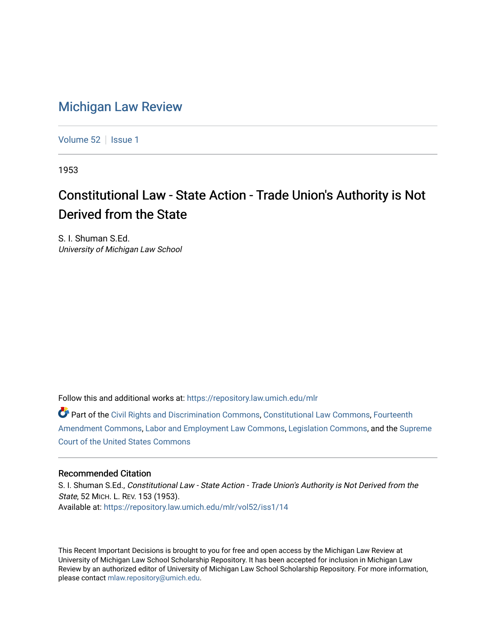## [Michigan Law Review](https://repository.law.umich.edu/mlr)

[Volume 52](https://repository.law.umich.edu/mlr/vol52) | [Issue 1](https://repository.law.umich.edu/mlr/vol52/iss1)

1953

## Constitutional Law - State Action - Trade Union's Authority is Not Derived from the State

S. I. Shuman S.Ed. University of Michigan Law School

Follow this and additional works at: [https://repository.law.umich.edu/mlr](https://repository.law.umich.edu/mlr?utm_source=repository.law.umich.edu%2Fmlr%2Fvol52%2Fiss1%2F14&utm_medium=PDF&utm_campaign=PDFCoverPages) 

Part of the [Civil Rights and Discrimination Commons,](http://network.bepress.com/hgg/discipline/585?utm_source=repository.law.umich.edu%2Fmlr%2Fvol52%2Fiss1%2F14&utm_medium=PDF&utm_campaign=PDFCoverPages) [Constitutional Law Commons,](http://network.bepress.com/hgg/discipline/589?utm_source=repository.law.umich.edu%2Fmlr%2Fvol52%2Fiss1%2F14&utm_medium=PDF&utm_campaign=PDFCoverPages) [Fourteenth](http://network.bepress.com/hgg/discipline/1116?utm_source=repository.law.umich.edu%2Fmlr%2Fvol52%2Fiss1%2F14&utm_medium=PDF&utm_campaign=PDFCoverPages)  [Amendment Commons](http://network.bepress.com/hgg/discipline/1116?utm_source=repository.law.umich.edu%2Fmlr%2Fvol52%2Fiss1%2F14&utm_medium=PDF&utm_campaign=PDFCoverPages), [Labor and Employment Law Commons,](http://network.bepress.com/hgg/discipline/909?utm_source=repository.law.umich.edu%2Fmlr%2Fvol52%2Fiss1%2F14&utm_medium=PDF&utm_campaign=PDFCoverPages) [Legislation Commons](http://network.bepress.com/hgg/discipline/859?utm_source=repository.law.umich.edu%2Fmlr%2Fvol52%2Fiss1%2F14&utm_medium=PDF&utm_campaign=PDFCoverPages), and the [Supreme](http://network.bepress.com/hgg/discipline/1350?utm_source=repository.law.umich.edu%2Fmlr%2Fvol52%2Fiss1%2F14&utm_medium=PDF&utm_campaign=PDFCoverPages) [Court of the United States Commons](http://network.bepress.com/hgg/discipline/1350?utm_source=repository.law.umich.edu%2Fmlr%2Fvol52%2Fiss1%2F14&utm_medium=PDF&utm_campaign=PDFCoverPages)

## Recommended Citation

S. I. Shuman S.Ed., Constitutional Law - State Action - Trade Union's Authority is Not Derived from the State, 52 MICH. L. REV. 153 (1953). Available at: [https://repository.law.umich.edu/mlr/vol52/iss1/14](https://repository.law.umich.edu/mlr/vol52/iss1/14?utm_source=repository.law.umich.edu%2Fmlr%2Fvol52%2Fiss1%2F14&utm_medium=PDF&utm_campaign=PDFCoverPages) 

This Recent Important Decisions is brought to you for free and open access by the Michigan Law Review at University of Michigan Law School Scholarship Repository. It has been accepted for inclusion in Michigan Law Review by an authorized editor of University of Michigan Law School Scholarship Repository. For more information, please contact [mlaw.repository@umich.edu.](mailto:mlaw.repository@umich.edu)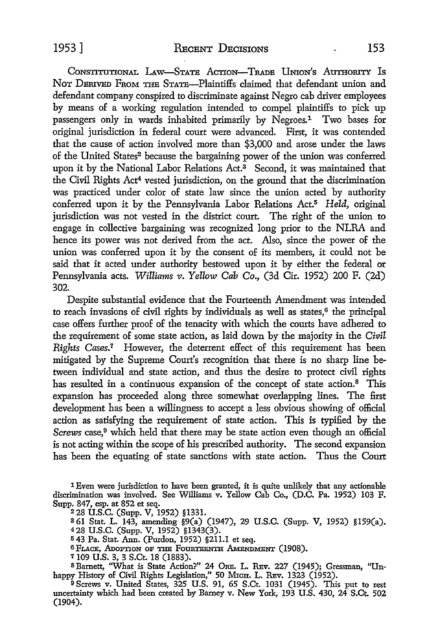CONSTITUTIONAL LAW-STATE ACTION-TRADE UNION'S AUTHORITY IS NoT DERIVED FRoM THE STATE-Plaintiffs claimed that defendant union and defendant company conspired to discriminate against Negro cab driver employees by means of a working regulation intended to compel plaintiffs to pick up passengers only in wards inhabited primarily by Negroes.1 Two bases for original jurisdiction in federal court were advanced. First, it was contended that the cause of action involved more than \$3,000 and arose under the laws of the United States2 because the bargaining power of the union was conferred upon it by the National Labor Relations Act.<sup>3</sup> Second, it was maintained that the Civil Rights Act4 vested jurisdiction, on the ground that the discrimination was practiced under color of state law since the union acted by authority conferred upon it by the Pennsylvania Labor Relations Act.5 *Held,* original jurisdiction was not vested in the district court. The right of the union to engage in collective bargaining was recognized long prior to the NLRA and hence its power was not derived from the act. Also, since the power of the union was conferred upon it by the consent of its members, it could not be said that it acted under authority bestowed upon it by either the federal or Pennsylvania acts. *Williams v. Yellow Cab Co.,* (3d Cir. 1952) 200 F. (2d) 302.

Despite substantial evidence that the Fourteenth Amendment was intended to reach invasions of civil rights by individuals as well as states, $6$  the principal case offers further proof of the tenacity with which the courts have adhered to the requirement of some state action, as laid down by the majority in the *Civil*  Rights Cases.<sup>7</sup> However, the deterrent effect of this requirement has been mitigated by the Supreme Court's recognition that there is no sharp line between individual and state action, and thus the desire *to* protect civil rights has resulted in a continuous expansion of the concept of state action.<sup>8</sup> This expansion has proceeded along three somewhat overlapping lines. The first development has been a willingness to accept a less obvious showing of official action as satisfying the requirement of state action. This is typified by the *Screws* case,<sup>9</sup> which held that there may be state action even though an official is not acting within the scope of his prescribed authority. The second expansion has been the equating of state sanctions with state action. Thus the Court

1 Even were jurisdiction to have been granted, it is quite unlikely that any actionable discrimination was involved. See Williams v. Yellow Cab Co., (D.C. Pa. 1952) 103 F. Supp. 847, esp. at 852 et seq.

<sup>2</sup>28 U.S.C. (Supp. V, 1952) §1331.

8 61 Stat. L. 143; amending §9(a) (1947), 29 U.S.C. (Supp. V, 1952) §l59(a).

<sup>4</sup>28 U.S.C. (Supp. V, 1952) §1343(3).

<sup>5</sup>43 Pa. Stat. Ann. (Purdon, 1952) §21 I.I et seq.

6 FLACK, ADOPTION OF THE FOURTEENTH AMENDMENT (1908).

7109 U.S. 3, 3 S.Ct. 18 (1883).

s Barnett, ''What is State Action?" 24 ORE. L. REv. 227 (1945); Gressman, "Unhappy History of Civil Rights Legislation," 50 Mrca. L. REv. 1323 (1952).

<sup>9</sup>Screws v. United States, 325 U.S. 91, 65 S.Ct. 1031 (1945). This put to rest uncertainty which had been created by Barney v. New York, 193 U.S. 430, 24 S.Ct. 502 (1904).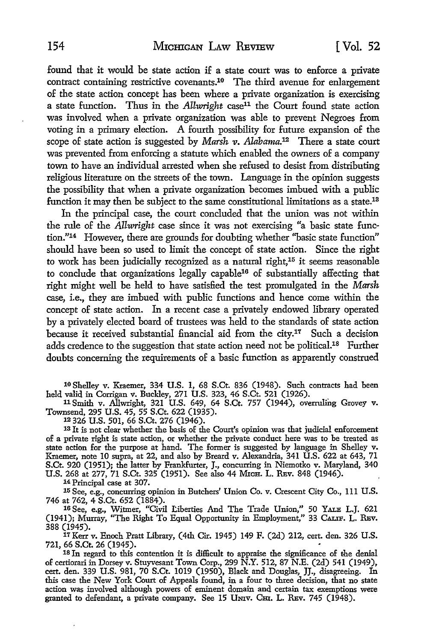found that it would be state action if a state court was to enforce a private contract containing restrictive covenants.10 The third avenue for enlargement of the state action concept has been where a private organization is exercising a state function. Thus in the *Allwright* case<sup>11</sup> the Court found state action was involved when a private organization was able to prevent Negroes from voting in a primary election. A fourth possibility for future expansion of the scope of state action is suggested by *Marsh v. Alabama*.<sup>12</sup> There a state court was prevented from enforcing a statute which enabled the owners of a company town to have an individual arrested when she refused to desist from distributing religious literature on the streets of the town. Language in the opinion suggests the possibility that when a private organization becomes imbued with a public function it may then be subject *to* the same constitutional limitations as a state.18

In the principal case, the court concluded that the union was not within the rule of the *All-wright* case since it was not exercising "a basic state function."14 However, there are grounds for doubting whether ''basic state function" should have been so used to limit the concept of state action. Since the right to work has been judicially recognized as a natural right,<sup>15</sup> it seems reasonable to conclude that organizations legally capable16 of substantially affecting that right might well be held to have satisfied the test promulgated in the *Marsh*  case, i.e., they are imbued with public functions and hence come within the concept of state action. In a recent case a privately endowed library operated by a privately elected board of trustees was held to the standards of state action because it received substantial financial aid from the city.17 Such a decision adds credence to the suggestion that state action need not be political.<sup>18</sup> Further doubts concerning the requirements of a basic function as apparently construed

10 Shelley v. Kraemer, 334 U.S. 1, 68 S.Ct. 836 (1948). Such contracts had been held valid in Corrigan v. Buckley, 271 U.S. 323, 46 S.Ct. 521 (1926).

11 Smith v. Allwright, 321 U.S. 649, 64 S.Ct. 757 (1944), overruling Grovey v. Townsend, 295 U.S. 45, 55 S.Ct. 622 (1935).

12 326 U.S. 501, 66 S.Ct. 276 (1946).

<sup>13</sup> It is not clear whether the basis of the Court's opinion was that judicial enforcement of a private right is state action, or whether the private conduct here was to be treated as state action for the purpose at hand. The former is suggested by language in Shelley v. Kraemer, note 10 supra, at 22, and also by Breard v. Alexandria, 341 U.S. 622 at 643, 71 S.Ct. 920 (1951); the latter by Frankfurter, J., concurring in Niemotko v. Maryland, 340 U.S. 268 at 277, 71 S.Ct. 325 (1951). See also 44 MxcH. L. REv. 848 (1946).

14 Principal case at 307.

15 See, e.g., concurring opinion in Butchers' Union Co. v. Crescent City Co., 111 U.S. 746 at 762, 4 S.Ct. 652 (1884).

16 See, e.g., Witmer, "Civil Liberties And The Trade Union," 50 YALE L.J. 621 (1941); Murray, ''The Right To Equal Opportunity in Employment," 33 CALIF. L. REv. 388 (1945).

17Kerr v. Enoch Pratt Library, (4th Cir. 1945) 149 F. (2d) 212, cert. den. 326 U.S. 721, 66 S.Ct. 26 (1945).

18 In regard to this contention it is difficult to appraise the significance of the denial of certiorari in Dorsey v. Stuyvesant Town Corp., 299 N.Y. 512, 87 N.E. (2d) 541 (1949), cert. den. 339 U.S. 981, 70 S.Ct. 1019 (1950), Black and Douglas, JJ., disagreeing. In this case the New York Court of Appeals found, in a four to three decision, that no state action was involved although powers of eminent domain and certain tax exemptions were granted to defendant, a private company. See 15 UMIV. CHI. L. REV. 745 (1948).